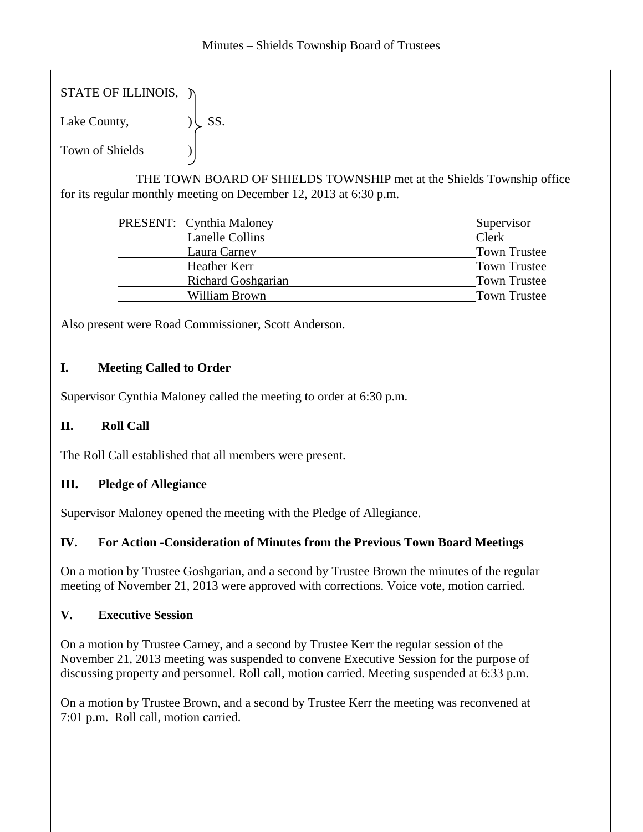STATE OF ILLINOIS,

Lake County,  $|\text{SS.}}$ 

Town of Shields )

 THE TOWN BOARD OF SHIELDS TOWNSHIP met at the Shields Township office for its regular monthly meeting on December 12, 2013 at 6:30 p.m.

| PRESENT: Cynthia Maloney  | Supervisor          |
|---------------------------|---------------------|
| <b>Lanelle Collins</b>    | Clerk               |
| Laura Carney              | <b>Town Trustee</b> |
| Heather Kerr              | <b>Town Trustee</b> |
| <b>Richard Goshgarian</b> | <b>Town Trustee</b> |
| William Brown             | <b>Town Trustee</b> |
|                           |                     |

Also present were Road Commissioner, Scott Anderson.

# **I. Meeting Called to Order**

Supervisor Cynthia Maloney called the meeting to order at 6:30 p.m.

## **II. Roll Call**

The Roll Call established that all members were present.

## **III. Pledge of Allegiance**

Supervisor Maloney opened the meeting with the Pledge of Allegiance.

## **IV. For Action -Consideration of Minutes from the Previous Town Board Meetings**

On a motion by Trustee Goshgarian, and a second by Trustee Brown the minutes of the regular meeting of November 21, 2013 were approved with corrections. Voice vote, motion carried.

## **V. Executive Session**

On a motion by Trustee Carney, and a second by Trustee Kerr the regular session of the November 21, 2013 meeting was suspended to convene Executive Session for the purpose of discussing property and personnel. Roll call, motion carried. Meeting suspended at 6:33 p.m.

On a motion by Trustee Brown, and a second by Trustee Kerr the meeting was reconvened at 7:01 p.m. Roll call, motion carried.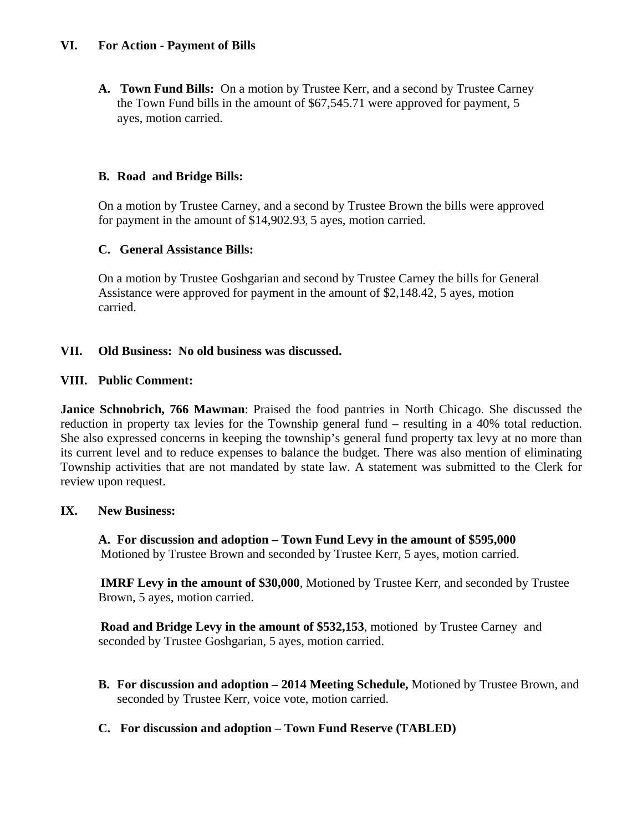### **VI. For Action - Payment of Bills**

**A. Town Fund Bills:** On a motion by Trustee Kerr, and a second by Trustee Carney the Town Fund bills in the amount of \$67,545.71 were approved for payment, 5 ayes, motion carried.

### **B. Road and Bridge Bills:**

On a motion by Trustee Carney, and a second by Trustee Brown the bills were approved for payment in the amount of \$14,902.93, 5 ayes, motion carried.

#### **C. General Assistance Bills:**

On a motion by Trustee Goshgarian and second by Trustee Carney the bills for General Assistance were approved for payment in the amount of \$2,148.42, 5 ayes, motion carried.

#### **VII. Old Business: No old business was discussed.**

#### **VIII. Public Comment:**

**Janice Schnobrich, 766 Mawman**: Praised the food pantries in North Chicago. She discussed the reduction in property tax levies for the Township general fund – resulting in a 40% total reduction. She also expressed concerns in keeping the township's general fund property tax levy at no more than its current level and to reduce expenses to balance the budget. There was also mention of eliminating Township activities that are not mandated by state law. A statement was submitted to the Clerk for review upon request.

#### **IX. New Business:**

**A. For discussion and adoption – Town Fund Levy in the amount of \$595,000**  Motioned by Trustee Brown and seconded by Trustee Kerr, 5 ayes, motion carried.

**IMRF Levy in the amount of \$30,000**, Motioned by Trustee Kerr, and seconded by Trustee Brown, 5 ayes, motion carried.

**Road and Bridge Levy in the amount of \$532,153**, motioned by Trustee Carney and seconded by Trustee Goshgarian, 5 ayes, motion carried.

**B. For discussion and adoption – 2014 Meeting Schedule,** Motioned by Trustee Brown, and seconded by Trustee Kerr, voice vote, motion carried.

## **C. For discussion and adoption – Town Fund Reserve (TABLED)**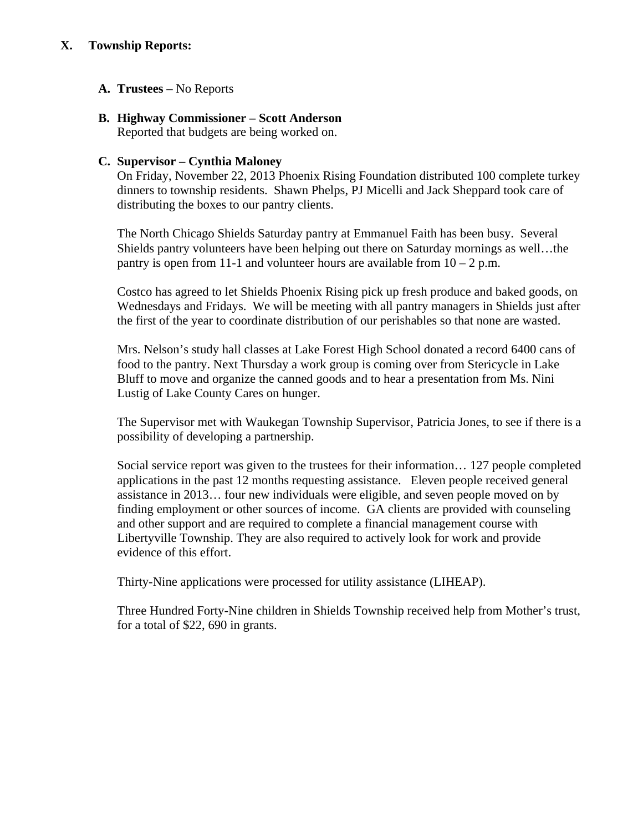## **X. Township Reports:**

## **A. Trustees** – No Reports

# **B. Highway Commissioner – Scott Anderson**

Reported that budgets are being worked on.

## **C. Supervisor – Cynthia Maloney**

On Friday, November 22, 2013 Phoenix Rising Foundation distributed 100 complete turkey dinners to township residents. Shawn Phelps, PJ Micelli and Jack Sheppard took care of distributing the boxes to our pantry clients.

The North Chicago Shields Saturday pantry at Emmanuel Faith has been busy. Several Shields pantry volunteers have been helping out there on Saturday mornings as well…the pantry is open from 11-1 and volunteer hours are available from  $10 - 2$  p.m.

Costco has agreed to let Shields Phoenix Rising pick up fresh produce and baked goods, on Wednesdays and Fridays. We will be meeting with all pantry managers in Shields just after the first of the year to coordinate distribution of our perishables so that none are wasted.

Mrs. Nelson's study hall classes at Lake Forest High School donated a record 6400 cans of food to the pantry. Next Thursday a work group is coming over from Stericycle in Lake Bluff to move and organize the canned goods and to hear a presentation from Ms. Nini Lustig of Lake County Cares on hunger.

The Supervisor met with Waukegan Township Supervisor, Patricia Jones, to see if there is a possibility of developing a partnership.

Social service report was given to the trustees for their information… 127 people completed applications in the past 12 months requesting assistance. Eleven people received general assistance in 2013… four new individuals were eligible, and seven people moved on by finding employment or other sources of income. GA clients are provided with counseling and other support and are required to complete a financial management course with Libertyville Township. They are also required to actively look for work and provide evidence of this effort.

Thirty-Nine applications were processed for utility assistance (LIHEAP).

Three Hundred Forty-Nine children in Shields Township received help from Mother's trust, for a total of \$22, 690 in grants.